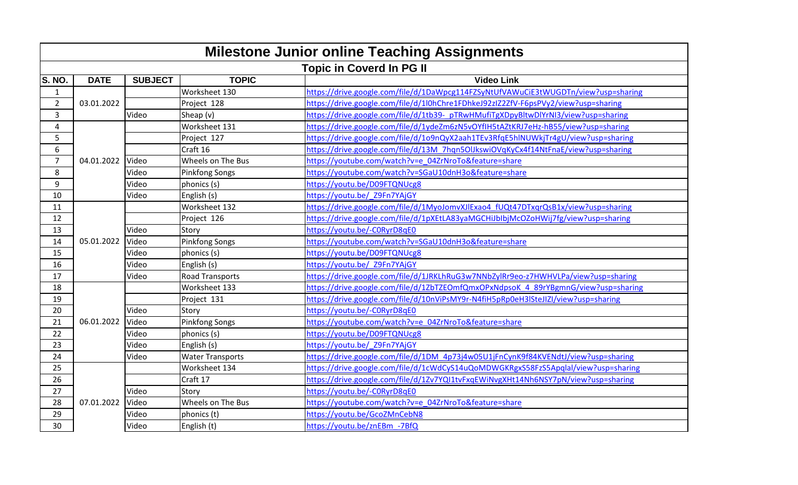|                         | <b>Milestone Junior online Teaching Assignments</b> |                |                         |                                                                                    |  |
|-------------------------|-----------------------------------------------------|----------------|-------------------------|------------------------------------------------------------------------------------|--|
|                         | <b>Topic in Coverd In PG II</b>                     |                |                         |                                                                                    |  |
| S. NO.                  | <b>DATE</b>                                         | <b>SUBJECT</b> | <b>TOPIC</b>            | <b>Video Link</b>                                                                  |  |
| $\mathbf{1}$            |                                                     |                | Worksheet 130           | https://drive.google.com/file/d/1DaWpcg114FZSyNtUfVAWuCiE3tWUGDTn/view?usp=sharing |  |
| $\overline{2}$          | 03.01.2022                                          |                | Project 128             | https://drive.google.com/file/d/1l0hChre1FDhkeJ92zIZ2ZfV-F6psPVy2/view?usp=sharing |  |
| 3                       |                                                     | Video          | Sheap $(v)$             | https://drive.google.com/file/d/1tb39-pTRwHMufiTgXDpyBltwDlYrNI3/view?usp=sharing  |  |
| $\overline{\mathbf{4}}$ |                                                     |                | Worksheet 131           | https://drive.google.com/file/d/1ydeZm6zN5vOYfIH5tAZtKRJ7eHz-hB55/view?usp=sharing |  |
| 5                       |                                                     |                | Project 127             | https://drive.google.com/file/d/1o9nQyX2aah1TEv3RfqE5hlNUWkjTr4gU/view?usp=sharing |  |
| 6                       |                                                     |                | Craft 16                | https://drive.google.com/file/d/13M 7hqn5OlJkswiOVqKyCx4f14NtFnaE/view?usp=sharing |  |
| $\overline{7}$          | 04.01.2022                                          | Video          | Wheels on The Bus       | https://youtube.com/watch?v=e 04ZrNroTo&feature=share                              |  |
| 8                       |                                                     | Video          | <b>Pinkfong Songs</b>   | https://youtube.com/watch?v=SGaU10dnH3o&feature=share                              |  |
| 9                       |                                                     | Video          | phonics (s)             | https://youtu.be/D09FTQNUcg8                                                       |  |
| 10                      |                                                     | Video          | English (s)             | https://youtu.be/ Z9Fn7YAjGY                                                       |  |
| 11                      |                                                     |                | Worksheet 132           | https://drive.google.com/file/d/1MyoJomvXJlExao4 fUQt47DTxqrQsB1x/view?usp=sharing |  |
| 12                      |                                                     |                | Project 126             | https://drive.google.com/file/d/1pXEtLA83yaMGCHiJblbjMcOZoHWij7fg/view?usp=sharing |  |
| 13                      |                                                     | Video          | Story                   | https://youtu.be/-CORyrD8qE0                                                       |  |
| 14                      | 05.01.2022                                          | Video          | <b>Pinkfong Songs</b>   | https://youtube.com/watch?v=SGaU10dnH3o&feature=share                              |  |
| 15                      |                                                     | Video          | phonics (s)             | https://youtu.be/D09FTQNUcg8                                                       |  |
| 16                      |                                                     | Video          | English (s)             | https://youtu.be/ Z9Fn7YAjGY                                                       |  |
| 17                      |                                                     | Video          | <b>Road Transports</b>  | https://drive.google.com/file/d/1JRKLhRuG3w7NNbZylRr9eo-z7HWHVLPa/view?usp=sharing |  |
| 18                      |                                                     |                | Worksheet 133           | https://drive.google.com/file/d/1ZbTZEOmfQmxOPxNdpsoK 4 89rYBgmnG/view?usp=sharing |  |
| 19                      |                                                     |                | Project 131             | https://drive.google.com/file/d/10nViPsMY9r-N4fiH5pRp0eH3lSteJIZI/view?usp=sharing |  |
| 20                      |                                                     | Video          | Story                   | https://youtu.be/-CORyrD8qE0                                                       |  |
| 21                      | 06.01.2022                                          | Video          | <b>Pinkfong Songs</b>   | https://youtube.com/watch?v=e 04ZrNroTo&feature=share                              |  |
| 22                      |                                                     | Video          | phonics (s)             | https://youtu.be/D09FTQNUcg8                                                       |  |
| 23                      |                                                     | Video          | English (s)             | https://youtu.be/ Z9Fn7YAjGY                                                       |  |
| 24                      |                                                     | Video          | <b>Water Transports</b> | https://drive.google.com/file/d/1DM_4p73j4w05U1jFnCynK9f84KVENdtJ/view?usp=sharing |  |
| 25                      |                                                     |                | Worksheet 134           | https://drive.google.com/file/d/1cWdCyS14uQoMDWGKRgxS58FzS5Apqlal/view?usp=sharing |  |
| 26                      |                                                     |                | Craft 17                | https://drive.google.com/file/d/1Zv7YQI1tvFxqEWiNvgXHt14Nh6NSY7pN/view?usp=sharing |  |
| 27                      |                                                     | Video          | Story                   | https://youtu.be/-C0RyrD8qE0                                                       |  |
| 28                      | 07.01.2022                                          | Video          | Wheels on The Bus       | https://youtube.com/watch?v=e 04ZrNroTo&feature=share                              |  |
| 29                      |                                                     | Video          | phonics (t)             | https://youtu.be/GcoZMnCebN8                                                       |  |
| 30                      |                                                     | Video          | English (t)             | https://youtu.be/znEBm -7BfQ                                                       |  |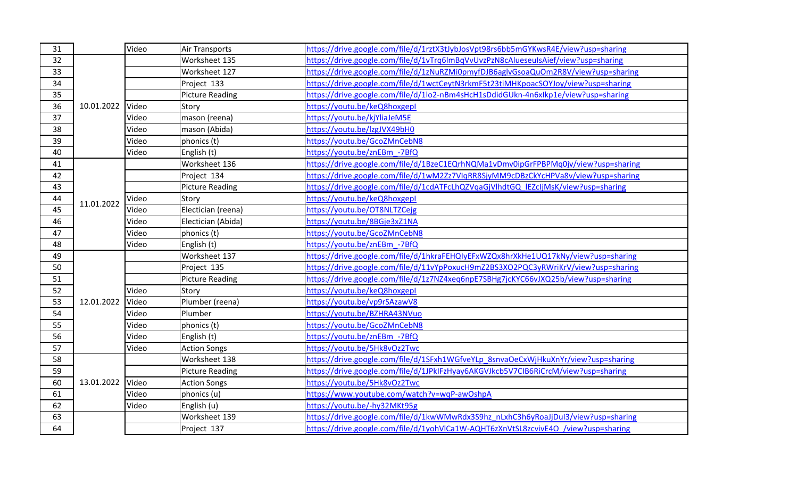| 31 |            | Video | <b>Air Transports</b>  | https://drive.google.com/file/d/1rztX3tJybJosVpt98rs6bb5mGYKwsR4E/view?usp=sharing |
|----|------------|-------|------------------------|------------------------------------------------------------------------------------|
| 32 |            |       | Worksheet 135          | https://drive.google.com/file/d/1vTrg6lmBqVvUvzPzN8cAlueseuIsAief/view?usp=sharing |
| 33 |            |       | Worksheet 127          | https://drive.google.com/file/d/1zNuRZMi0pmyfDJB6aglvGsoaQuOm2R8V/view?usp=sharing |
| 34 |            |       | Project 133            | https://drive.google.com/file/d/1wctCeytN3rkmF5t23tiMHKpoacSOYJoy/view?usp=sharing |
| 35 | 10.01.2022 |       | <b>Picture Reading</b> | https://drive.google.com/file/d/1lo2-nBm4sHcH1sDdidGUkn-4n6xlkp1e/view?usp=sharing |
| 36 |            | Video | Story                  | https://youtu.be/keQ8hoxgepl                                                       |
| 37 |            | Video | mason (reena)          | https://youtu.be/kjYliaJeM5E                                                       |
| 38 |            | Video | mason (Abida)          | https://youtu.be/lzgJVX49bH0                                                       |
| 39 |            | Video | phonics (t)            | https://youtu.be/GcoZMnCebN8                                                       |
| 40 |            | Video | English (t)            | https://youtu.be/znEBm -7BfQ                                                       |
| 41 |            |       | Worksheet 136          | https://drive.google.com/file/d/1BzeC1EQrhNQMa1vDmv0ipGrFPBPMq0jv/view?usp=sharing |
| 42 |            |       | Project 134            | https://drive.google.com/file/d/1wM2Zz7VIqRR8SjyMM9cDBzCkYcHPVa8v/view?usp=sharing |
| 43 |            |       | <b>Picture Reading</b> | https://drive.google.com/file/d/1cdATFcLhQZVqaGjVlhdtGQ_lEZcIjMsK/view?usp=sharing |
| 44 | 11.01.2022 | Video | Story                  | https://youtu.be/keQ8hoxgepl                                                       |
| 45 |            | Video | Electician (reena)     | https://youtu.be/OT8NLTZCejg                                                       |
| 46 |            | Video | Electician (Abida)     | https://youtu.be/8BGje3xZ1NA                                                       |
| 47 |            | Video | phonics (t)            | https://youtu.be/GcoZMnCebN8                                                       |
| 48 |            | Video | English (t)            | https://youtu.be/znEBm -7BfQ                                                       |
| 49 |            |       | Worksheet 137          | https://drive.google.com/file/d/1hkraFEHQIyEFxWZQx8hrXkHe1UQ17kNy/view?usp=sharing |
| 50 |            |       | Project 135            | https://drive.google.com/file/d/11vYpPoxucH9mZ2BS3XO2PQC3yRWriKrV/view?usp=sharing |
| 51 |            |       | <b>Picture Reading</b> | https://drive.google.com/file/d/1z7NZ4xeq6npE7SBHg7jcKYC66vJXQ25b/view?usp=sharing |
| 52 |            | Video | Story                  | https://youtu.be/keQ8hoxgepl                                                       |
| 53 | 12.01.2022 | Video | Plumber (reena)        | https://youtu.be/vp9rSAzawV8                                                       |
| 54 |            | Video | Plumber                | https://youtu.be/BZHRA43NVuo                                                       |
| 55 |            | Video | phonics (t)            | https://youtu.be/GcoZMnCebN8                                                       |
| 56 |            | Video | English (t)            | https://youtu.be/znEBm -7BfQ                                                       |
| 57 |            | Video | <b>Action Songs</b>    | https://youtu.be/5Hk8vOz2Twc                                                       |
| 58 |            |       | Worksheet 138          | https://drive.google.com/file/d/1SFxh1WGfveYLp 8snvaOeCxWjHkuXnYr/view?usp=sharing |
| 59 |            |       | <b>Picture Reading</b> | https://drive.google.com/file/d/1JPkIFzHyay6AKGVJkcb5V7CIB6RiCrcM/view?usp=sharing |
| 60 | 13.01.2022 | Video | <b>Action Songs</b>    | https://youtu.be/5Hk8vOz2Twc                                                       |
| 61 |            | Video | phonics (u)            | https://www.youtube.com/watch?v=wqP-awOshpA                                        |
| 62 |            | Video | English (u)            | https://youtu.be/-hy32MKt95g                                                       |
| 63 |            |       | Worksheet 139          | https://drive.google.com/file/d/1kwWMwRdx3S9hz_nLxhC3h6yRoaJjDul3/view?usp=sharing |
| 64 |            |       | Project 137            | https://drive.google.com/file/d/1yohVlCa1W-AQHT6zXnVtSL8zcvivE4O /view?usp=sharing |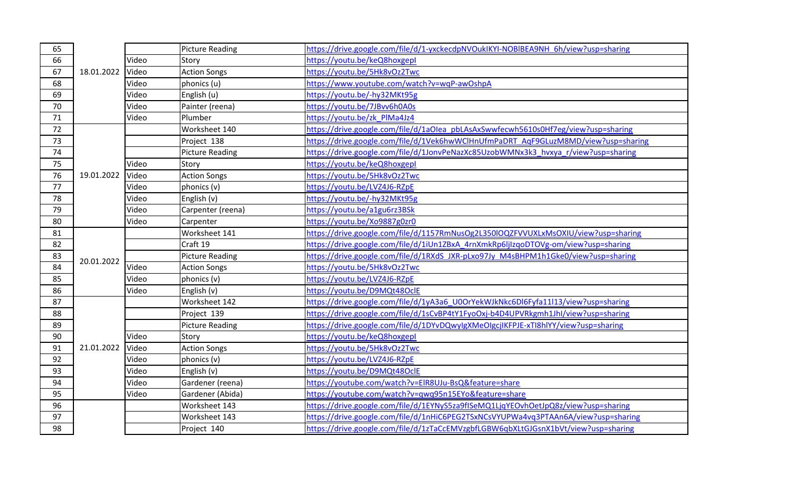| 65 |            |       | <b>Picture Reading</b> | https://drive.google.com/file/d/1-yxckecdpNVOukIKYI-NOBIBEA9NH 6h/view?usp=sharing |
|----|------------|-------|------------------------|------------------------------------------------------------------------------------|
| 66 | 18.01.2022 | Video | Story                  | https://voutu.be/keQ8hoxgepl                                                       |
| 67 |            | Video | <b>Action Songs</b>    | https://youtu.be/5Hk8vOz2Twc                                                       |
| 68 |            | Video | phonics (u)            | https://www.youtube.com/watch?v=wqP-awOshpA                                        |
| 69 |            | Video | English (u)            | https://youtu.be/-hy32MKt95g                                                       |
| 70 |            | Video | Painter (reena)        | https://youtu.be/7JBvv6h0A0s                                                       |
| 71 |            | Video | Plumber                | https://voutu.be/zk PIMa4Jz4                                                       |
| 72 |            |       | Worksheet 140          | https://drive.google.com/file/d/1aOlea pbLAsAxSwwfecwh5610s0Hf7eg/view?usp=sharing |
| 73 |            |       | Project 138            | https://drive.google.com/file/d/1Vek6hwWClHnUfmPaDRT_AqF9GLuzM8MD/view?usp=sharing |
| 74 |            |       | <b>Picture Reading</b> | https://drive.google.com/file/d/1JonvPeNazXc85UzobWMNx3k3_hvxya_r/view?usp=sharing |
| 75 |            | Video | Story                  | https://youtu.be/keQ8hoxgepl                                                       |
| 76 | 19.01.2022 | Video | <b>Action Songs</b>    | https://youtu.be/5Hk8vOz2Twc                                                       |
| 77 |            | Video | phonics (v)            | https://youtu.be/LVZ4J6-RZpE                                                       |
| 78 |            | Video | English (v)            | https://youtu.be/-hy32MKt95g                                                       |
| 79 |            | Video | Carpenter (reena)      | https://youtu.be/a1gu6rz3BSk                                                       |
| 80 |            | Video | Carpenter              | https://youtu.be/Xo9887g0zr0                                                       |
| 81 |            |       | Worksheet 141          | https://drive.google.com/file/d/1157RmNusOg2L350lOQZFVVUXLxMsOXIU/view?usp=sharing |
| 82 |            |       | Craft 19               | https://drive.google.com/file/d/1iUn1ZBxA_4rnXmkRp6ljIzqoDTOVg-om/view?usp=sharing |
| 83 | 20.01.2022 |       | <b>Picture Reading</b> | https://drive.google.com/file/d/1RXdS_JXR-pLxo97Jy_M4sBHPM1h1Gke0/view?usp=sharing |
| 84 |            | Video | <b>Action Songs</b>    | https://youtu.be/5Hk8vOz2Twc                                                       |
| 85 |            | Video | phonics (v)            | https://you <u>tu.be/LVZ4J6-RZpE</u>                                               |
| 86 |            | Video | English (v)            | https://youtu.be/D9MQt48OclE                                                       |
| 87 |            |       | Worksheet 142          | https://drive.google.com/file/d/1yA3a6_U0OrYekWJkNkc6Dl6Fyfa11l13/view?usp=sharing |
| 88 |            |       | Project 139            | https://drive.google.com/file/d/1sCvBP4tY1FyoOxj-b4D4UPVRkgmh1Jhl/view?usp=sharing |
| 89 |            |       | <b>Picture Reading</b> | https://drive.google.com/file/d/1DYvDQwyIgXMeOIgcjIKFPJE-xTI8hIYY/view?usp=sharing |
| 90 |            | Video | Story                  | https://youtu.be/keQ8hoxgepl                                                       |
| 91 | 21.01.2022 | Video | <b>Action Songs</b>    | https://youtu.be/5Hk8vOz2Twc                                                       |
| 92 |            | Video | phonics (v)            | https://youtu.be/LVZ4J6-RZpE                                                       |
| 93 |            | Video | English (v)            | https://youtu.be/D9MQt48OclE                                                       |
| 94 |            | Video | Gardener (reena)       | https://youtube.com/watch?v=ElR8UJu-BsQ&feature=share                              |
| 95 |            | Video | Gardener (Abida)       | https://youtube.com/watch?v=qwq95n15EYo&feature=share                              |
| 96 |            |       | Worksheet 143          | https://drive.google.com/file/d/1EYNyS5za9flSeMQ1LjqYEOvhOetJpQ8z/view?usp=sharing |
| 97 |            |       | Worksheet 143          | https://drive.google.com/file/d/1nHiC6PEG2TSxNCsVYUPWa4vq3PTAAn6A/view?usp=sharing |
| 98 |            |       | Project 140            | https://drive.google.com/file/d/1zTaCcEMVzgbfLGBW6qbXLtGJGsnX1bVt/view?usp=sharing |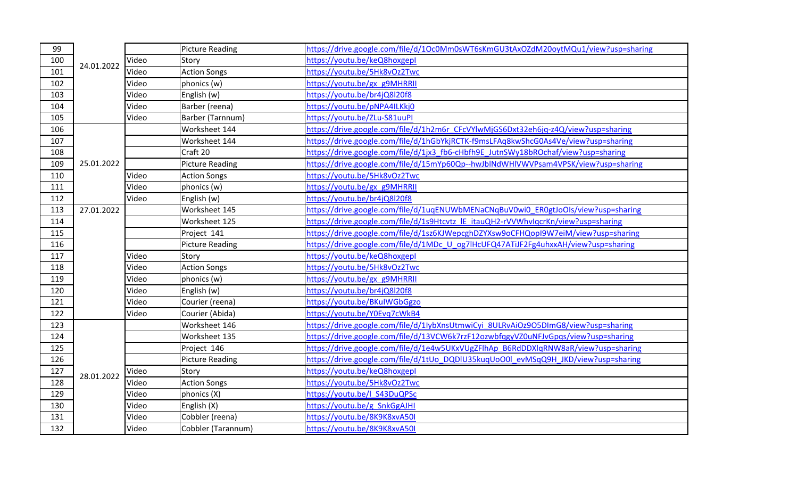| 99  |            |       | <b>Picture Reading</b> | https://drive.google.com/file/d/1Oc0Mm0sWT6sKmGU3tAxOZdM20oytMQu1/view?usp=sharing |
|-----|------------|-------|------------------------|------------------------------------------------------------------------------------|
| 100 | 24.01.2022 | Video | Story                  | https://youtu.be/keQ8hoxgepl                                                       |
| 101 |            | Video | <b>Action Songs</b>    | https://youtu.be/5Hk8vOz2Twc                                                       |
| 102 |            | Video | phonics (w)            | https://youtu.be/gx_g9MHRRII                                                       |
| 103 |            | Video | English (w)            | https://youtu.be/br4jQ8l20f8                                                       |
| 104 |            | Video | Barber (reena)         | https://youtu.be/pNPA4ILKkj0                                                       |
| 105 |            | Video | Barber (Tarnnum)       | https://voutu.be/ZLu-S81uuPI                                                       |
| 106 |            |       | Worksheet 144          | https://drive.google.com/file/d/1h2m6r CFcVYlwMjGS6Dxt32eh6jq-z4Q/view?usp=sharing |
| 107 |            |       | Worksheet 144          | https://drive.google.com/file/d/1hGbYkjRCTK-f9msLFAq8kwShcG0As4Ve/view?usp=sharing |
| 108 |            |       | Craft 20               | https://drive.google.com/file/d/1jx3_fb6-cHbfh9E_JutnSWy18bROchaf/view?usp=sharing |
| 109 | 25.01.2022 |       | <b>Picture Reading</b> | https://drive.google.com/file/d/15mYp60Qp--hwJblNdWHlVWVPsam4VPSK/view?usp=sharing |
| 110 |            | Video | <b>Action Songs</b>    | https://youtu.be/5Hk8vOz2Twc                                                       |
| 111 |            | Video | phonics (w)            | https://youtu.be/gx_g9MHRRII                                                       |
| 112 |            | Video | English (w)            | https://youtu.be/br4jQ8l20f8                                                       |
| 113 | 27.01.2022 |       | Worksheet 145          | https://drive.google.com/file/d/1uqENUWbMENaCNqBuV0wi0_ER0gtJoOIs/view?usp=sharing |
| 114 |            |       | Worksheet 125          | https://drive.google.com/file/d/1s9Htcvtz IE itauQH2-rVVWhvIqcrKn/view?usp=sharing |
| 115 |            |       | Project 141            | https://drive.google.com/file/d/1sz6KJWepcghDZYXsw9oCFHQopI9W7eiM/view?usp=sharing |
| 116 |            |       | <b>Picture Reading</b> | https://drive.google.com/file/d/1MDc U og7lHcUFQ47ATiJF2Fg4uhxxAH/view?usp=sharing |
| 117 |            | Video | Story                  | https://voutu.be/keQ8hoxgepl                                                       |
| 118 |            | Video | <b>Action Songs</b>    | https://youtu.be/5Hk8vOz2Twc                                                       |
| 119 |            | Video | phonics (w)            | https://youtu.be/gx g9MHRRII                                                       |
| 120 |            | Video | English (w)            | https://youtu.be/br4jQ8l20f8                                                       |
| 121 |            | Video | Courier (reena)        | https://youtu.be/BKuIWGbGgzo                                                       |
| 122 |            | Video | Courier (Abida)        | https://youtu.be/Y0Evg7cWkB4                                                       |
| 123 |            |       | Worksheet 146          | https://drive.google.com/file/d/1IybXnsUtmwiCyi 8ULRvAiOz9O5DImG8/view?usp=sharing |
| 124 |            |       | Worksheet 135          | https://drive.google.com/file/d/13VCW6k7rzF12ozwbfqgyVZ0uNFJvGpqs/view?usp=sharing |
| 125 |            |       | Project 146            | https://drive.google.com/file/d/1e4w5UKxVUgZFlhAp_B6RdDDXlqRNW8aR/view?usp=sharing |
| 126 | 28.01.2022 |       | <b>Picture Reading</b> | https://drive.google.com/file/d/1tUo DQDIU35kuqUoO0l evMSqQ9H_JKD/view?usp=sharing |
| 127 |            | Video | Story                  | https://youtu.be/keQ8hoxgepl                                                       |
| 128 |            | Video | <b>Action Songs</b>    | https://youtu.be/5Hk8vOz2Twc                                                       |
| 129 |            | Video | phonics (X)            | https://youtu.be/l S43DuQPSc                                                       |
| 130 |            | Video | English (X)            | https://youtu.be/g SnkGgAJHI                                                       |
| 131 |            | Video | Cobbler (reena)        | https://youtu.be/8K9K8xvA50I                                                       |
| 132 |            | Video | Cobbler (Tarannum)     | https://youtu.be/8K9K8xvA50I                                                       |